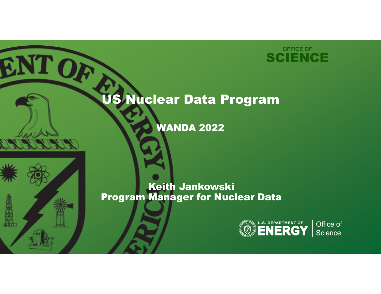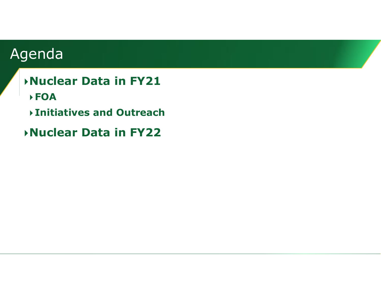# Agenda

- **Nuclear Data in FY21**
- **FOA**
- **Initiatives and Outreach**
- **Nuclear Data in FY22**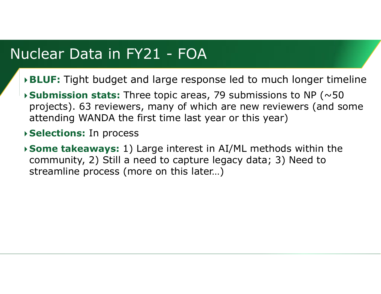### Nuclear Data in FY21 - FOA

- **BLUF:** Tight budget and large response led to much longer timeline
- **Submission stats:** Three topic areas, 79 submissions to NP (~50 projects). 63 reviewers, many of which are new reviewers (and some attending WANDA the first time last year or this year)
- **Selections:** In process
- **Some takeaways:** 1) Large interest in AI/ML methods within the community, 2) Still a need to capture legacy data; 3) Need to streamline process (more on this later…)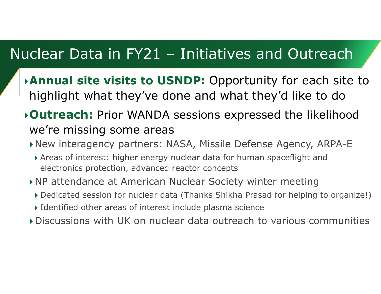## Nuclear Data in FY21 – Initiatives and Outreach

- **Annual site visits to USNDP:** Opportunity for each site to highlight what they've done and what they'd like to do
- **Outreach:** Prior WANDA sessions expressed the likelihood we're missing some areas
	- New interagency partners: NASA, Missile Defense Agency, ARPA-E
		- Areas of interest: higher energy nuclear data for human spaceflight and electronics protection, advanced reactor concepts
	- NP attendance at American Nuclear Society winter meeting
		- Dedicated session for nuclear data (Thanks Shikha Prasad for helping to organize!)
		- Identified other areas of interest include plasma science
	- Discussions with UK on nuclear data outreach to various communities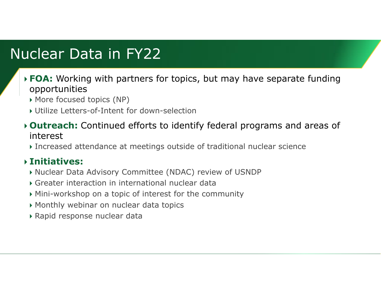# Nuclear Data in FY22

- **FOA:** Working with partners for topics, but may have separate funding opportunities
	- $\blacktriangleright$  More focused topics (NP)
	- Utilize Letters-of-Intent for down-selection
- **Outreach:** Continued efforts to identify federal programs and areas of interest
	- Increased attendance at meetings outside of traditional nuclear science

#### **Initiatives:**

- Nuclear Data Advisory Committee (NDAC) review of USNDP
- Greater interaction in international nuclear data
- Mini-workshop on a topic of interest for the community
- Monthly webinar on nuclear data topics
- $\blacktriangleright$  Rapid response nuclear data